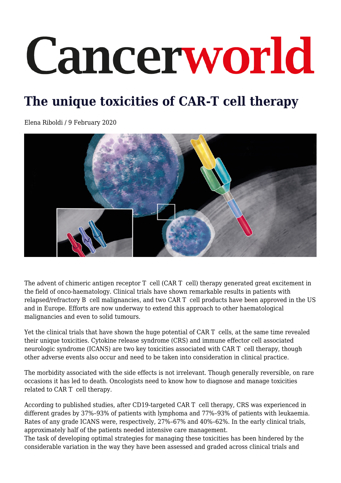# Cancerworld

# **The unique toxicities of CAR-T cell therapy**

Elena Riboldi / 9 February 2020



The advent of chimeric antigen receptor T cell (CAR T cell) therapy generated great excitement in the field of onco-haematology. Clinical trials have shown remarkable results in patients with relapsed/refractory B cell malignancies, and two CAR T cell products have been approved in the US and in Europe. Efforts are now underway to extend this approach to other haematological malignancies and even to solid tumours.

Yet the clinical trials that have shown the huge potential of CAR T cells, at the same time revealed their unique toxicities. Cytokine release syndrome (CRS) and immune effector cell associated neurologic syndrome (ICANS) are two key toxicities associated with CAR T cell therapy, though other adverse events also occur and need to be taken into consideration in clinical practice.

The morbidity associated with the side effects is not irrelevant. Though generally reversible, on rare occasions it has led to death. Oncologists need to know how to diagnose and manage toxicities related to CAR T cell therapy.

According to published studies, after CD19-targeted CAR T cell therapy, CRS was experienced in different grades by 37%–93% of patients with lymphoma and 77%–93% of patients with leukaemia. Rates of any grade ICANS were, respectively, 27%–67% and 40%–62%. In the early clinical trials, approximately half of the patients needed intensive care management.

The task of developing optimal strategies for managing these toxicities has been hindered by the considerable variation in the way they have been assessed and graded across clinical trials and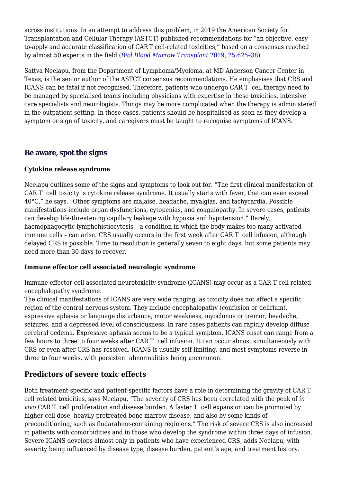across institutions. In an attempt to address this problem, in 2019 the American Society for Transplantation and Cellular Therapy (ASTCT) published recommendations for "an objective, easyto-apply and accurate classification of CART cell-related toxicities," based on a consensus reached by almost 50 experts in the field (*[Biol Blood Marrow Transplant](https://www.bbmt.org/article/S1083-8791(18)31691-4/fulltext)* [2019, 25:625–38\)](https://www.bbmt.org/article/S1083-8791(18)31691-4/fulltext).

Sattva Neelapu, from the Department of Lymphoma/Myeloma, at MD Anderson Cancer Center in Texas, is the senior author of the ASTCT consensus recommendations. He emphasises that CRS and ICANS can be fatal if not recognised. Therefore, patients who undergo CAR T cell therapy need to be managed by specialised teams including physicians with expertise in these toxicities, intensive care specialists and neurologists. Things may be more complicated when the therapy is administered in the outpatient setting. In those cases, patients should be hospitalised as soon as they develop a symptom or sign of toxicity, and caregivers must be taught to recognise symptoms of ICANS.

#### **Be aware, spot the signs**

#### **Cytokine release syndrome**

Neelapu outlines some of the signs and symptoms to look out for. "The first clinical manifestation of CAR T cell toxicity is cytokine release syndrome. It usually starts with fever, that can even exceed 40°C," he says. "Other symptoms are malaise, headache, myalgias, and tachycardia. Possible manifestations include organ dysfunctions, cytopenias, and coagulopathy. In severe cases, patients can develop life-threatening capillary leakage with hypoxia and hypotension." Rarely, haemophagocytic lymphohistiocytosis – a condition in which the body makes too many activated immune cells – can arise. CRS usually occurs in the first week after CAR T cell infusion, although delayed CRS is possible. Time to resolution is generally seven to eight days, but some patients may need more than 30 days to recover.

#### **Immune effector cell associated neurologic syndrome**

Immune effector cell associated neurotoxicity syndrome (ICANS) may occur as a CAR T cell related encephalopathy syndrome.

The clinical manifestations of ICANS are very wide ranging, as toxicity does not affect a specific region of the central nervous system. They include encephalopathy (confusion or delirium), expressive aphasia or language disturbance, motor weakness, myoclonus or tremor, headache, seizures, and a depressed level of consciousness. In rare cases patients can rapidly develop diffuse cerebral oedema. Expressive aphasia seems to be a typical symptom. ICANS onset can range from a few hours to three to four weeks after CAR T cell infusion. It can occur almost simultaneously with CRS or even after CRS has resolved. ICANS is usually self-limiting, and most symptoms reverse in three to four weeks, with persistent abnormalities being uncommon.

### **Predictors of severe toxic effects**

Both treatment-specific and patient-specific factors have a role in determining the gravity of CAR T cell related toxicities, says Neelapu. "The severity of CRS has been correlated with the peak of *in vivo* CAR T cell proliferation and disease burden. A faster T cell expansion can be promoted by higher cell dose, heavily pretreated bone marrow disease, and also by some kinds of preconditioning, such as fludarabine-containing regimens." The risk of severe CRS is also increased in patients with comorbidities and in those who develop the syndrome within three days of infusion. Severe ICANS develops almost only in patients who have experienced CRS, adds Neelapu, with severity being influenced by disease type, disease burden, patient's age, and treatment history.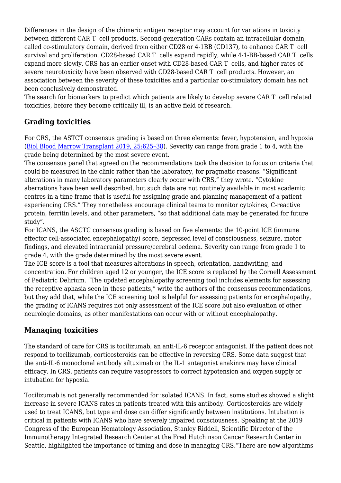Differences in the design of the chimeric antigen receptor may account for variations in toxicity between different CAR T cell products. Second-generation CARs contain an intracellular domain, called co-stimulatory domain, derived from either CD28 or 4-1BB (CD137), to enhance CAR T cell survival and proliferation. CD28-based CAR T cells expand rapidly, while 4-1-BB-based CAR T cells expand more slowly. CRS has an earlier onset with CD28-based CAR T cells, and higher rates of severe neurotoxicity have been observed with CD28-based CAR T cell products. However, an association between the severity of these toxicities and a particular co-stimulatory domain has not been conclusively demonstrated.

The search for biomarkers to predict which patients are likely to develop severe CAR T cell related toxicities, before they become critically ill, is an active field of research.

# **Grading toxicities**

For CRS, the ASTCT consensus grading is based on three elements: fever, hypotension, and hypoxia [\(Biol Blood Marrow Transplant 2019, 25:625–38](https://www.bbmt.org/article/S1083-8791(18)31691-4/fulltext)). Severity can range from grade 1 to 4, with the grade being determined by the most severe event.

The consensus panel that agreed on the recommendations took the decision to focus on criteria that could be measured in the clinic rather than the laboratory, for pragmatic reasons. "Significant alterations in many laboratory parameters clearly occur with CRS," they wrote. "Cytokine aberrations have been well described, but such data are not routinely available in most academic centres in a time frame that is useful for assigning grade and planning management of a patient experiencing CRS." They nonetheless encourage clinical teams to monitor cytokines, C-reactive protein, ferritin levels, and other parameters, "so that additional data may be generated for future study".

For ICANS, the ASCTC consensus grading is based on five elements: the 10-point ICE (immune effector cell-associated encephalopathy) score, depressed level of consciousness, seizure, motor findings, and elevated intracranial pressure/cerebral oedema. Severity can range from grade 1 to grade 4, with the grade determined by the most severe event.

The ICE score is a tool that measures alterations in speech, orientation, handwriting, and concentration. For children aged 12 or younger, the ICE score is replaced by the Cornell Assessment of Pediatric Delirium. "The updated encephalopathy screening tool includes elements for assessing the receptive aphasia seen in these patients," write the authors of the consensus recommendations, but they add that, while the ICE screening tool is helpful for assessing patients for encephalopathy, the grading of ICANS requires not only assessment of the ICE score but also evaluation of other neurologic domains, as other manifestations can occur with or without encephalopathy.

# **Managing toxicities**

The standard of care for CRS is tocilizumab, an anti-IL-6 receptor antagonist. If the patient does not respond to tocilizumab, corticosteroids can be effective in reversing CRS. Some data suggest that the anti-IL-6 monoclonal antibody siltuximab or the IL-1 antagonist anakinra may have clinical efficacy. In CRS, patients can require vasopressors to correct hypotension and oxygen supply or intubation for hypoxia.

Tocilizumab is not generally recommended for isolated ICANS. In fact, some studies showed a slight increase in severe ICANS rates in patients treated with this antibody. Corticosteroids are widely used to treat ICANS, but type and dose can differ significantly between institutions. Intubation is critical in patients with ICANS who have severely impaired consciousness. Speaking at the 2019 Congress of the European Hematology Association, Stanley Riddell, Scientific Director of the Immunotherapy Integrated Research Center at the Fred Hutchinson Cancer Research Center in Seattle, highlighted the importance of timing and dose in managing CRS."There are now algorithms